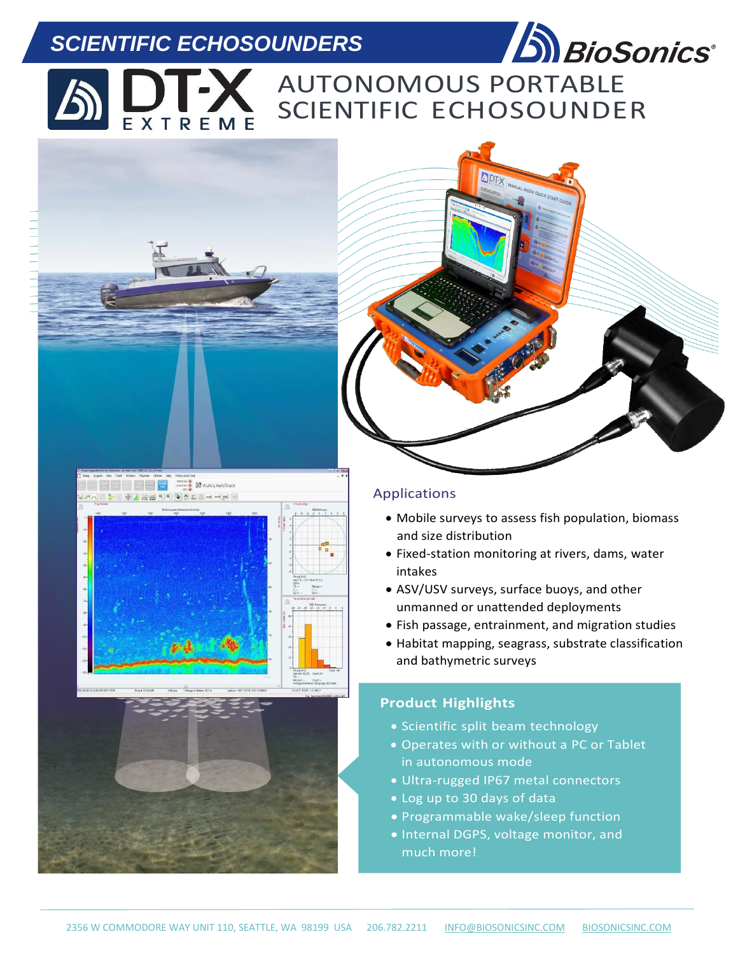# *SCIENTIFIC ECHOSOUNDERS*



AUTONOMOUS PORTABLE SCIENTIFIC ECHOSOUNDER EXTREME

ODTY





# Applications

- Mobile surveys to assess fish population, biomass and size distribution
- Fixed-station monitoring at rivers, dams, water intakes
- ASV/USV surveys, surface buoys, and other unmanned or unattended deployments
- Fish passage, entrainment, and migration studies
- Habitat mapping, seagrass, substrate classification and bathymetric surveys

# **Product Highlights**

- Scientific split beam technology
- Operates with or without a PC or Tablet in autonomous mode
- Ultra-rugged IP67 metal connectors
- Log up to 30 days of data
- Programmable wake/sleep function
- Internal DGPS, voltage monitor, and much more!